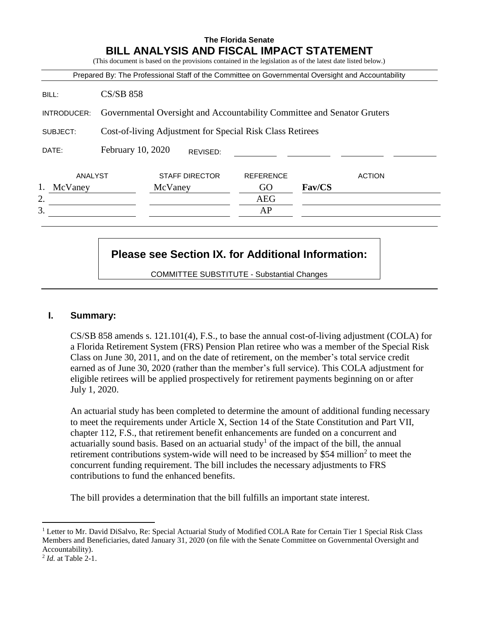# **The Florida Senate BILL ANALYSIS AND FISCAL IMPACT STATEMENT**

(This document is based on the provisions contained in the legislation as of the latest date listed below.)

|             |                                                                         |                       |          |                  |               | Prepared By: The Professional Staff of the Committee on Governmental Oversight and Accountability |
|-------------|-------------------------------------------------------------------------|-----------------------|----------|------------------|---------------|---------------------------------------------------------------------------------------------------|
| BILL:       | <b>CS/SB 858</b>                                                        |                       |          |                  |               |                                                                                                   |
| INTRODUCER: | Governmental Oversight and Accountability Committee and Senator Gruters |                       |          |                  |               |                                                                                                   |
| SUBJECT:    | Cost-of-living Adjustment for Special Risk Class Retirees               |                       |          |                  |               |                                                                                                   |
| DATE:       | February 10, 2020                                                       |                       | REVISED: |                  |               |                                                                                                   |
| ANALYST     |                                                                         | <b>STAFF DIRECTOR</b> |          | <b>REFERENCE</b> |               | <b>ACTION</b>                                                                                     |
| McVaney     |                                                                         | McVaney               |          | GO               | <b>Fav/CS</b> |                                                                                                   |
| 2.          |                                                                         |                       |          | <b>AEG</b>       |               |                                                                                                   |
| 3.          |                                                                         |                       |          | AP               |               |                                                                                                   |

# **Please see Section IX. for Additional Information:**

COMMITTEE SUBSTITUTE - Substantial Changes

# **I. Summary:**

CS/SB 858 amends s. 121.101(4), F.S., to base the annual cost-of-living adjustment (COLA) for a Florida Retirement System (FRS) Pension Plan retiree who was a member of the Special Risk Class on June 30, 2011, and on the date of retirement, on the member's total service credit earned as of June 30, 2020 (rather than the member's full service). This COLA adjustment for eligible retirees will be applied prospectively for retirement payments beginning on or after July 1, 2020.

An actuarial study has been completed to determine the amount of additional funding necessary to meet the requirements under Article X, Section 14 of the State Constitution and Part VII, chapter 112, F.S., that retirement benefit enhancements are funded on a concurrent and actuarially sound basis. Based on an actuarial study<sup>1</sup> of the impact of the bill, the annual retirement contributions system-wide will need to be increased by \$54 million<sup>2</sup> to meet the concurrent funding requirement. The bill includes the necessary adjustments to FRS contributions to fund the enhanced benefits.

The bill provides a determination that the bill fulfills an important state interest.

 $\overline{a}$ 

<sup>&</sup>lt;sup>1</sup> Letter to Mr. David DiSalvo, Re: Special Actuarial Study of Modified COLA Rate for Certain Tier 1 Special Risk Class Members and Beneficiaries, dated January 31, 2020 (on file with the Senate Committee on Governmental Oversight and Accountability).

<sup>2</sup> *Id.* at Table 2-1.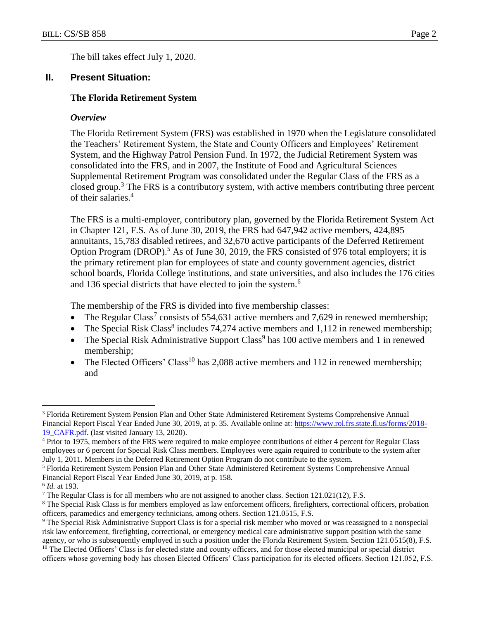The bill takes effect July 1, 2020.

## **II. Present Situation:**

## **The Florida Retirement System**

#### *Overview*

The Florida Retirement System (FRS) was established in 1970 when the Legislature consolidated the Teachers' Retirement System, the State and County Officers and Employees' Retirement System, and the Highway Patrol Pension Fund. In 1972, the Judicial Retirement System was consolidated into the FRS, and in 2007, the Institute of Food and Agricultural Sciences Supplemental Retirement Program was consolidated under the Regular Class of the FRS as a closed group.<sup>3</sup> The FRS is a contributory system, with active members contributing three percent of their salaries.<sup>4</sup>

The FRS is a multi-employer, contributory plan, governed by the Florida Retirement System Act in Chapter 121, F.S. As of June 30, 2019, the FRS had 647,942 active members, 424,895 annuitants, 15,783 disabled retirees, and 32,670 active participants of the Deferred Retirement Option Program (DROP).<sup>5</sup> As of June 30, 2019, the FRS consisted of 976 total employers; it is the primary retirement plan for employees of state and county government agencies, district school boards, Florida College institutions, and state universities, and also includes the 176 cities and 136 special districts that have elected to join the system.<sup>6</sup>

The membership of the FRS is divided into five membership classes:

- The Regular Class<sup>7</sup> consists of 554,631 active members and 7,629 in renewed membership;
- The Special Risk Class<sup>8</sup> includes 74,274 active members and 1,112 in renewed membership;
- The Special Risk Administrative Support Class<sup>9</sup> has  $100$  active members and 1 in renewed membership;
- The Elected Officers' Class<sup>10</sup> has 2,088 active members and 112 in renewed membership; and

 $\overline{a}$ 

<sup>3</sup> Florida Retirement System Pension Plan and Other State Administered Retirement Systems Comprehensive Annual Financial Report Fiscal Year Ended June 30, 2019, at p. 35. Available online at: [https://www.rol.frs.state.fl.us/forms/2018-](https://www.rol.frs.state.fl.us/forms/2018-19_CAFR.pdf) [19\\_CAFR.pdf.](https://www.rol.frs.state.fl.us/forms/2018-19_CAFR.pdf) (last visited January 13, 2020).

<sup>&</sup>lt;sup>4</sup> Prior to 1975, members of the FRS were required to make employee contributions of either 4 percent for Regular Class employees or 6 percent for Special Risk Class members. Employees were again required to contribute to the system after July 1, 2011. Members in the Deferred Retirement Option Program do not contribute to the system.

<sup>5</sup> Florida Retirement System Pension Plan and Other State Administered Retirement Systems Comprehensive Annual Financial Report Fiscal Year Ended June 30, 2019, at p. 158.

<sup>6</sup> *Id.* at 193.

<sup>&</sup>lt;sup>7</sup> The Regular Class is for all members who are not assigned to another class. Section  $121.021(12)$ , F.S.

<sup>&</sup>lt;sup>8</sup> The Special Risk Class is for members employed as law enforcement officers, firefighters, correctional officers, probation officers, paramedics and emergency technicians, among others. Section 121.0515, F.S.

<sup>9</sup> The Special Risk Administrative Support Class is for a special risk member who moved or was reassigned to a nonspecial risk law enforcement, firefighting, correctional, or emergency medical care administrative support position with the same agency, or who is subsequently employed in such a position under the Florida Retirement System. Section 121.0515(8), F.S.

<sup>&</sup>lt;sup>10</sup> The Elected Officers' Class is for elected state and county officers, and for those elected municipal or special district officers whose governing body has chosen Elected Officers' Class participation for its elected officers. Section 121.052, F.S.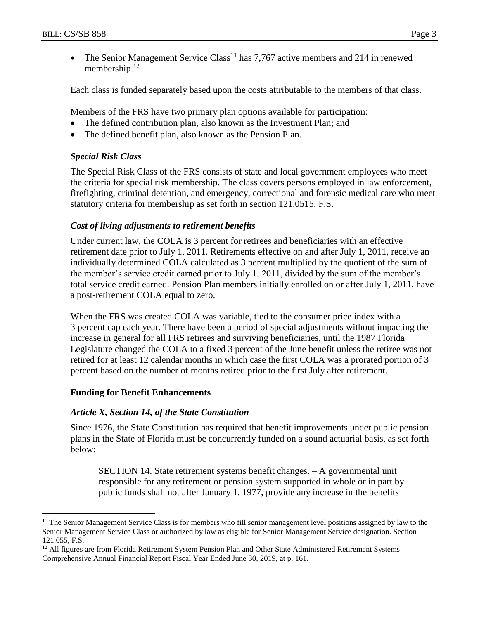• The Senior Management Service Class<sup>11</sup> has 7,767 active members and 214 in renewed membership.<sup>12</sup>

Each class is funded separately based upon the costs attributable to the members of that class.

Members of the FRS have two primary plan options available for participation:

- The defined contribution plan, also known as the Investment Plan; and
- The defined benefit plan, also known as the Pension Plan.

# *Special Risk Class*

The Special Risk Class of the FRS consists of state and local government employees who meet the criteria for special risk membership. The class covers persons employed in law enforcement, firefighting, criminal detention, and emergency, correctional and forensic medical care who meet statutory criteria for membership as set forth in section 121.0515, F.S.

# *Cost of living adjustments to retirement benefits*

Under current law, the COLA is 3 percent for retirees and beneficiaries with an effective retirement date prior to July 1, 2011. Retirements effective on and after July 1, 2011, receive an individually determined COLA calculated as 3 percent multiplied by the quotient of the sum of the member's service credit earned prior to July 1, 2011, divided by the sum of the member's total service credit earned. Pension Plan members initially enrolled on or after July 1, 2011, have a post-retirement COLA equal to zero.

When the FRS was created COLA was variable, tied to the consumer price index with a 3 percent cap each year. There have been a period of special adjustments without impacting the increase in general for all FRS retirees and surviving beneficiaries, until the 1987 Florida Legislature changed the COLA to a fixed 3 percent of the June benefit unless the retiree was not retired for at least 12 calendar months in which case the first COLA was a prorated portion of 3 percent based on the number of months retired prior to the first July after retirement.

# **Funding for Benefit Enhancements**

 $\overline{a}$ 

# *Article X, Section 14, of the State Constitution*

Since 1976, the State Constitution has required that benefit improvements under public pension plans in the State of Florida must be concurrently funded on a sound actuarial basis, as set forth below:

SECTION 14. State retirement systems benefit changes. – A governmental unit responsible for any retirement or pension system supported in whole or in part by public funds shall not after January 1, 1977, provide any increase in the benefits

<sup>&</sup>lt;sup>11</sup> The Senior Management Service Class is for members who fill senior management level positions assigned by law to the Senior Management Service Class or authorized by law as eligible for Senior Management Service designation. Section 121.055, F.S.

<sup>&</sup>lt;sup>12</sup> All figures are from Florida Retirement System Pension Plan and Other State Administered Retirement Systems Comprehensive Annual Financial Report Fiscal Year Ended June 30, 2019, at p. 161.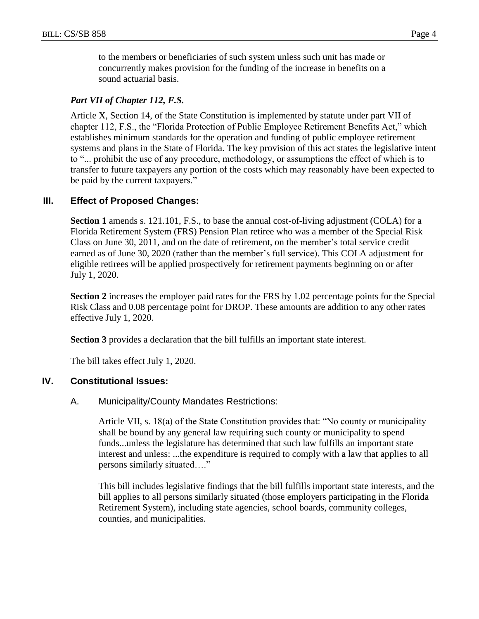to the members or beneficiaries of such system unless such unit has made or concurrently makes provision for the funding of the increase in benefits on a sound actuarial basis.

## *Part VII of Chapter 112, F.S.*

Article X, Section 14, of the State Constitution is implemented by statute under part VII of chapter 112, F.S., the "Florida Protection of Public Employee Retirement Benefits Act," which establishes minimum standards for the operation and funding of public employee retirement systems and plans in the State of Florida. The key provision of this act states the legislative intent to "... prohibit the use of any procedure, methodology, or assumptions the effect of which is to transfer to future taxpayers any portion of the costs which may reasonably have been expected to be paid by the current taxpayers."

## **III. Effect of Proposed Changes:**

**Section 1** amends s. 121.101, F.S., to base the annual cost-of-living adjustment (COLA) for a Florida Retirement System (FRS) Pension Plan retiree who was a member of the Special Risk Class on June 30, 2011, and on the date of retirement, on the member's total service credit earned as of June 30, 2020 (rather than the member's full service). This COLA adjustment for eligible retirees will be applied prospectively for retirement payments beginning on or after July 1, 2020.

**Section 2** increases the employer paid rates for the FRS by 1.02 percentage points for the Special Risk Class and 0.08 percentage point for DROP. These amounts are addition to any other rates effective July 1, 2020.

**Section 3** provides a declaration that the bill fulfills an important state interest.

The bill takes effect July 1, 2020.

## **IV. Constitutional Issues:**

## A. Municipality/County Mandates Restrictions:

Article VII, s. 18(a) of the State Constitution provides that: "No county or municipality shall be bound by any general law requiring such county or municipality to spend funds...unless the legislature has determined that such law fulfills an important state interest and unless: ...the expenditure is required to comply with a law that applies to all persons similarly situated…."

This bill includes legislative findings that the bill fulfills important state interests, and the bill applies to all persons similarly situated (those employers participating in the Florida Retirement System), including state agencies, school boards, community colleges, counties, and municipalities.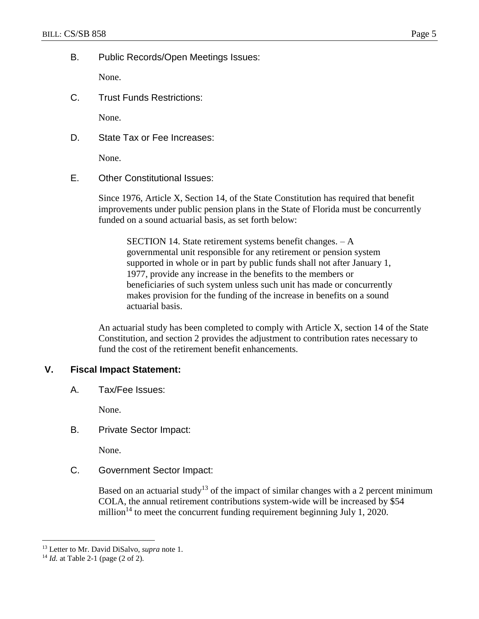B. Public Records/Open Meetings Issues:

None.

C. Trust Funds Restrictions:

None.

D. State Tax or Fee Increases:

None.

E. Other Constitutional Issues:

Since 1976, Article X, Section 14, of the State Constitution has required that benefit improvements under public pension plans in the State of Florida must be concurrently funded on a sound actuarial basis, as set forth below:

SECTION 14. State retirement systems benefit changes. – A governmental unit responsible for any retirement or pension system supported in whole or in part by public funds shall not after January 1, 1977, provide any increase in the benefits to the members or beneficiaries of such system unless such unit has made or concurrently makes provision for the funding of the increase in benefits on a sound actuarial basis.

An actuarial study has been completed to comply with Article X, section 14 of the State Constitution, and section 2 provides the adjustment to contribution rates necessary to fund the cost of the retirement benefit enhancements.

# **V. Fiscal Impact Statement:**

A. Tax/Fee Issues:

None.

B. Private Sector Impact:

None.

C. Government Sector Impact:

Based on an actuarial study<sup>13</sup> of the impact of similar changes with a 2 percent minimum COLA, the annual retirement contributions system-wide will be increased by \$54 million<sup>14</sup> to meet the concurrent funding requirement beginning July 1, 2020.

 $\overline{a}$ 

<sup>13</sup> Letter to Mr. David DiSalvo, *supra* note 1.

<sup>14</sup> *Id.* at Table 2-1 (page (2 of 2).